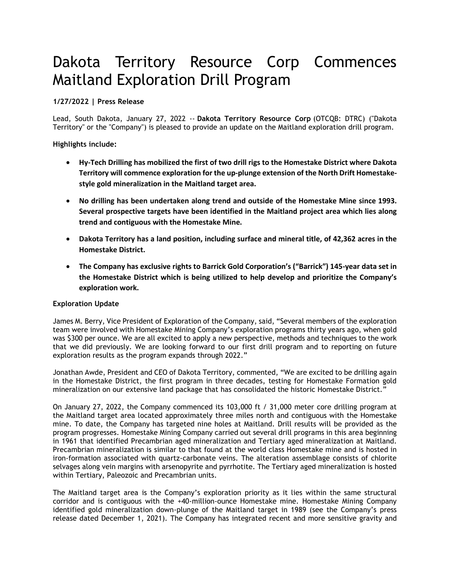# Dakota Territory Resource Corp Commences Maitland Exploration Drill Program

## **1/27/2022 | Press Release**

Lead, South Dakota, January 27, 2022 -- **Dakota Territory Resource Corp** (OTCQB: DTRC) ("Dakota Territory" or the "Company") is pleased to provide an update on the Maitland exploration drill program.

**Highlights include:**

- **Hy-Tech Drilling has mobilized the first of two drill rigs to the Homestake District where Dakota Territory will commence exploration for the up-plunge extension of the North Drift Homestakestyle gold mineralization in the Maitland target area.**
- **No drilling has been undertaken along trend and outside of the Homestake Mine since 1993. Several prospective targets have been identified in the Maitland project area which lies along trend and contiguous with the Homestake Mine.**
- **Dakota Territory has a land position, including surface and mineral title, of 42,362 acres in the Homestake District.**
- **The Company has exclusive rights to Barrick Gold Corporation's ("Barrick") 145-year data set in the Homestake District which is being utilized to help develop and prioritize the Company's exploration work.**

## **Exploration Update**

James M. Berry, Vice President of Exploration of the Company, said, "Several members of the exploration team were involved with Homestake Mining Company's exploration programs thirty years ago, when gold was \$300 per ounce. We are all excited to apply a new perspective, methods and techniques to the work that we did previously. We are looking forward to our first drill program and to reporting on future exploration results as the program expands through 2022."

Jonathan Awde, President and CEO of Dakota Territory, commented, "We are excited to be drilling again in the Homestake District, the first program in three decades, testing for Homestake Formation gold mineralization on our extensive land package that has consolidated the historic Homestake District."

On January 27, 2022, the Company commenced its 103,000 ft / 31,000 meter core drilling program at the Maitland target area located approximately three miles north and contiguous with the Homestake mine. To date, the Company has targeted nine holes at Maitland. Drill results will be provided as the program progresses. Homestake Mining Company carried out several drill programs in this area beginning in 1961 that identified Precambrian aged mineralization and Tertiary aged mineralization at Maitland. Precambrian mineralization is similar to that found at the world class Homestake mine and is hosted in iron-formation associated with quartz-carbonate veins. The alteration assemblage consists of chlorite selvages along vein margins with arsenopyrite and pyrrhotite. The Tertiary aged mineralization is hosted within Tertiary, Paleozoic and Precambrian units.

The Maitland target area is the Company's exploration priority as it lies within the same structural corridor and is contiguous with the +40-million-ounce Homestake mine. Homestake Mining Company identified gold mineralization down-plunge of the Maitland target in 1989 (see the Company's press release dated December 1, 2021). The Company has integrated recent and more sensitive gravity and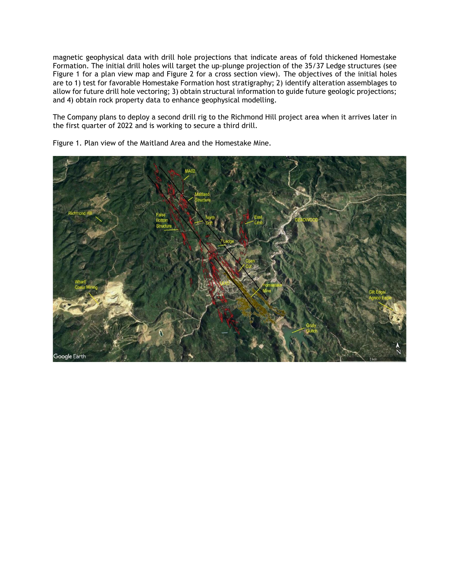magnetic geophysical data with drill hole projections that indicate areas of fold thickened Homestake Formation. The initial drill holes will target the up-plunge projection of the 35/37 Ledge structures (see Figure 1 for a plan view map and Figure 2 for a cross section view). The objectives of the initial holes are to 1) test for favorable Homestake Formation host stratigraphy; 2) identify alteration assemblages to allow for future drill hole vectoring; 3) obtain structural information to guide future geologic projections; and 4) obtain rock property data to enhance geophysical modelling.

The Company plans to deploy a second drill rig to the Richmond Hill project area when it arrives later in the first quarter of 2022 and is working to secure a third drill.



Figure 1. Plan view of the Maitland Area and the Homestake Mine.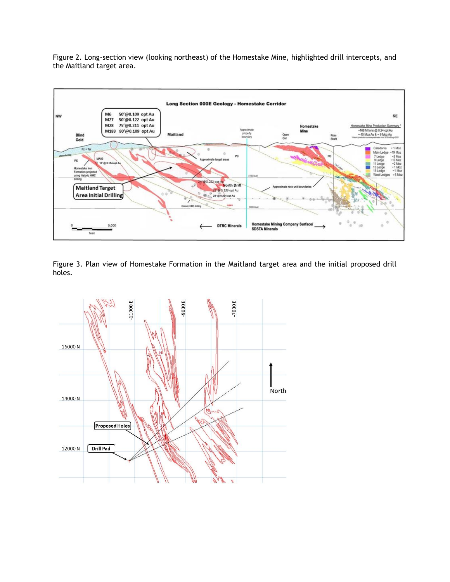Figure 2. Long-section view (looking northeast) of the Homestake Mine, highlighted drill intercepts, and the Maitland target area.



Figure 3. Plan view of Homestake Formation in the Maitland target area and the initial proposed drill holes.

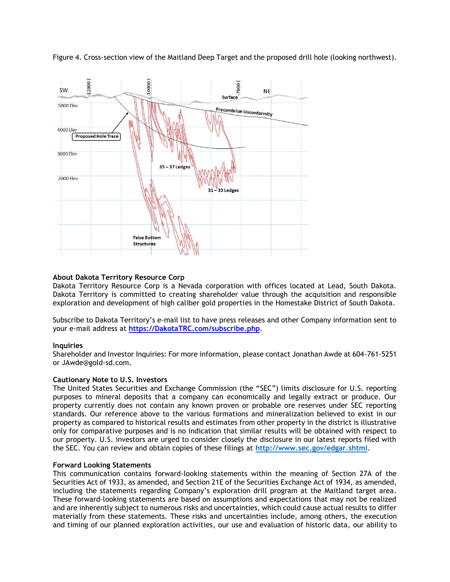Figure 4. Cross-section view of the Maitland Deep Target and the proposed drill hole (looking northwest).



## **About Dakota Territory Resource Corp**

Dakota Territory Resource Corp is a Nevada corporation with offices located at Lead, South Dakota. Dakota Territory is committed to creating shareholder value through the acquisition and responsible exploration and development of high caliber gold properties in the Homestake District of South Dakota.

Subscribe to Dakota Territory's e-mail list to have press releases and other Company information sent to your e-mail address at **[https://DakotaTRC.com/subscribe.php](https://dakotatrc.com/subscribe.php)**.

## **Inquiries**

Shareholder and Investor Inquiries: For more information, please contact Jonathan Awde at 604-761-5251 or JAwde@gold-sd.com.

## **Cautionary Note to U.S. Investors**

The United States Securities and Exchange Commission (the "SEC") limits disclosure for U.S. reporting purposes to mineral deposits that a company can economically and legally extract or produce. Our property currently does not contain any known proven or probable ore reserves under SEC reporting standards. Our reference above to the various formations and mineralization believed to exist in our property as compared to historical results and estimates from other property in the district is illustrative only for comparative purposes and is no indication that similar results will be obtained with respect to our property. U.S. investors are urged to consider closely the disclosure in our latest reports filed with the SEC. You can review and obtain copies of these filings at **<http://www.sec.gov/edgar.shtml>**.

## **Forward Looking Statements**

This communication contains forward-looking statements within the meaning of Section 27A of the Securities Act of 1933, as amended, and Section 21E of the Securities Exchange Act of 1934, as amended, including the statements regarding Company's exploration drill program at the Maitland target area. These forward-looking statements are based on assumptions and expectations that may not be realized and are inherently subject to numerous risks and uncertainties, which could cause actual results to differ materially from these statements. These risks and uncertainties include, among others, the execution and timing of our planned exploration activities, our use and evaluation of historic data, our ability to